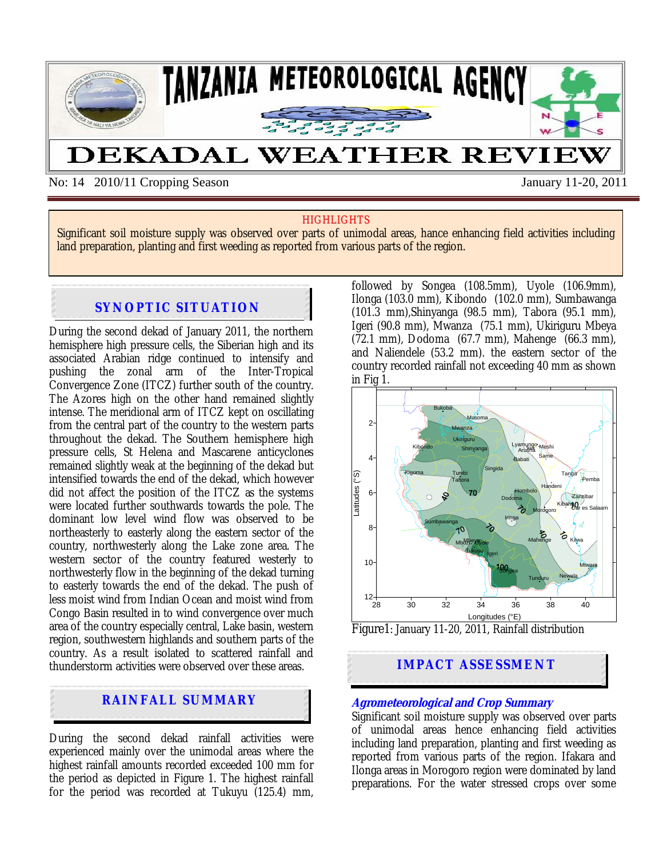

No: 14 2010/11 Cropping Season January 11-20, 2011

#### **HIGHLIGHTS**

Significant soil moisture supply was observed over parts of unimodal areas, hance enhancing field activities including land preparation, planting and first weeding as reported from various parts of the region.

## **SYNOPTIC SITUATION**

During the second dekad of January 2011, the northern hemisphere high pressure cells, the Siberian high and its associated Arabian ridge continued to intensify and pushing the zonal arm of the Inter-Tropical Convergence Zone (ITCZ) further south of the country. The Azores high on the other hand remained slightly intense. The meridional arm of ITCZ kept on oscillating from the central part of the country to the western parts throughout the dekad. The Southern hemisphere high pressure cells, St Helena and Mascarene anticyclones remained slightly weak at the beginning of the dekad but intensified towards the end of the dekad, which however did not affect the position of the ITCZ as the systems were located further southwards towards the pole. The dominant low level wind flow was observed to be northeasterly to easterly along the eastern sector of the country, northwesterly along the Lake zone area. The western sector of the country featured westerly to northwesterly flow in the beginning of the dekad turning to easterly towards the end of the dekad. The push of less moist wind from Indian Ocean and moist wind from Congo Basin resulted in to wind convergence over much area of the country especially central, Lake basin, western region, southwestern highlands and southern parts of the country. As a result isolated to scattered rainfall and thunderstorm activities were observed over these areas.

# **RAINFALL SUMMARY**

l

During the second dekad rainfall activities were experienced mainly over the unimodal areas where the highest rainfall amounts recorded exceeded 100 mm for the period as depicted in Figure 1. The highest rainfall for the period was recorded at Tukuyu (125.4) mm, followed by Songea (108.5mm), Uyole (106.9mm), Ilonga (103.0 mm), Kibondo (102.0 mm), Sumbawanga (101.3 mm),Shinyanga (98.5 mm), Tabora (95.1 mm), Igeri (90.8 mm), Mwanza (75.1 mm), Ukiriguru Mbeya (72.1 mm), Dodoma (67.7 mm), Mahenge (66.3 mm), and Naliendele (53.2 mm). the eastern sector of the country recorded rainfall not exceeding 40 mm as shown in Fig 1.



Figure1: January 11-20, 2011, Rainfall distribution



#### **Agrometeorological and Crop Summary**

Significant soil moisture supply was observed over parts of unimodal areas hence enhancing field activities including land preparation, planting and first weeding as reported from various parts of the region. Ifakara and Ilonga areas in Morogoro region were dominated by land preparations. For the water stressed crops over some